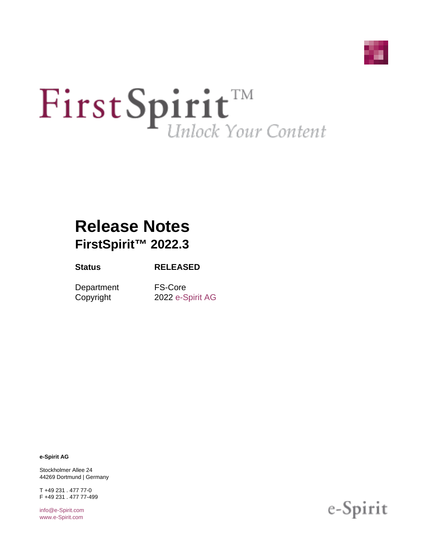

# First Spirit<sup>TM</sup>

# **Release Notes FirstSpirit™ 2022.3**

#### **Status RELEASED**

Department FS-Core

Copyright 2022 [e-Spirit AG](http://www.e-Spirit.com)

**e-Spirit AG**

Stockholmer Allee 24 44269 Dortmund | Germany

T +49 231 . 477 77-0 F +49 231 . 477 77-499

[info@e-Spirit.com](mailto:info@e-Spirit.com) [www.e-Spirit.com](http://www.e-Spirit.com)

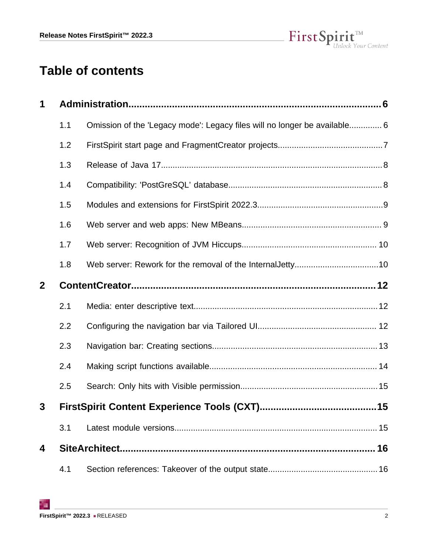

# **Table of contents**

| 1              |     |                                                                           |    |
|----------------|-----|---------------------------------------------------------------------------|----|
|                | 1.1 | Omission of the 'Legacy mode': Legacy files will no longer be available 6 |    |
|                | 1.2 |                                                                           |    |
|                | 1.3 |                                                                           |    |
|                | 1.4 |                                                                           |    |
|                | 1.5 |                                                                           |    |
|                | 1.6 |                                                                           |    |
|                | 1.7 |                                                                           |    |
|                | 1.8 |                                                                           |    |
| $\overline{2}$ |     |                                                                           |    |
|                | 2.1 |                                                                           |    |
|                | 2.2 |                                                                           |    |
|                | 2.3 |                                                                           |    |
|                | 2.4 |                                                                           |    |
|                | 2.5 |                                                                           |    |
| 3              |     |                                                                           |    |
|                | 3.1 |                                                                           |    |
| 4              |     |                                                                           | 16 |
|                | 4.1 |                                                                           |    |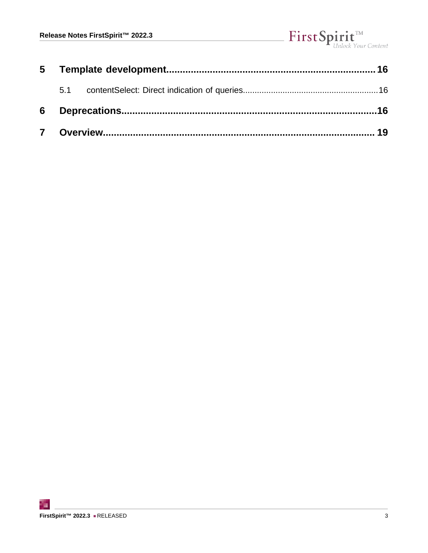# $\label{eq: 3.1} First \textbf{Split}_{\textit{Unlock Your Content}}^{\textit{TM}}$

| 5.1 |  |  |
|-----|--|--|
|     |  |  |
|     |  |  |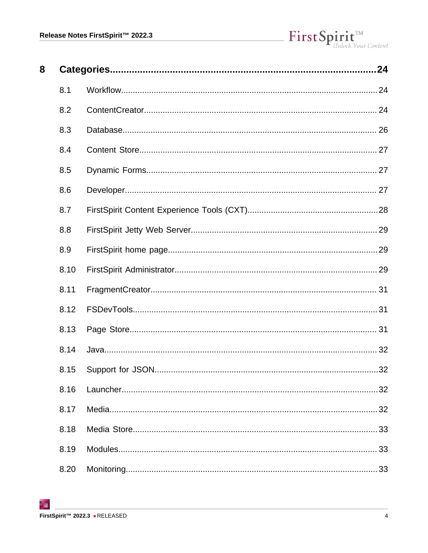| 8 |      | 24 |
|---|------|----|
|   | 8.1  |    |
|   | 8.2  |    |
|   | 8.3  |    |
|   | 8.4  |    |
|   | 8.5  |    |
|   | 8.6  |    |
|   | 8.7  |    |
|   | 8.8  |    |
|   | 8.9  |    |
|   | 8.10 |    |
|   | 8.11 |    |
|   | 8.12 |    |
|   | 8.13 |    |
|   | 8.14 |    |
|   | 8.15 |    |
|   | 8.16 | 32 |
|   | 8.17 | 32 |
|   | 8.18 | 33 |
|   | 8.19 | 33 |
|   | 8.20 |    |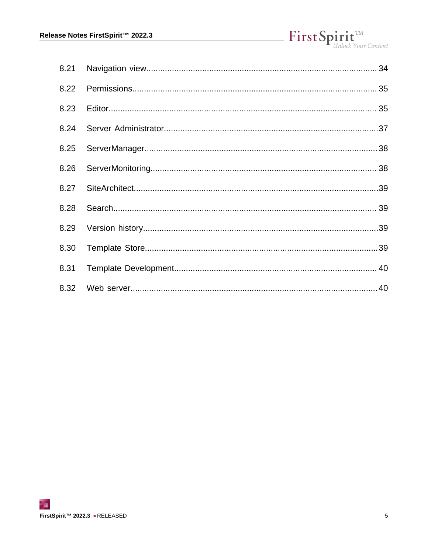| 8.21 |  |
|------|--|
| 8.22 |  |
| 8.23 |  |
| 8.24 |  |
| 8.25 |  |
| 8.26 |  |
| 8.27 |  |
| 8.28 |  |
| 8.29 |  |
| 8.30 |  |
| 8.31 |  |
| 8.32 |  |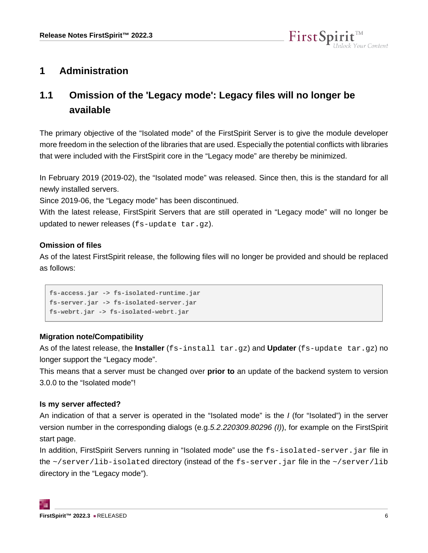

# <span id="page-5-0"></span>**1 Administration**

# <span id="page-5-1"></span>**1.1 Omission of the 'Legacy mode': Legacy files will no longer be available**

The primary objective of the "Isolated mode" of the FirstSpirit Server is to give the module developer more freedom in the selection of the libraries that are used. Especially the potential conflicts with libraries that were included with the FirstSpirit core in the "Legacy mode" are thereby be minimized.

In February 2019 (2019-02), the "Isolated mode" was released. Since then, this is the standard for all newly installed servers.

Since 2019-06, the "Legacy mode" has been discontinued.

With the latest release, FirstSpirit Servers that are still operated in "Legacy mode" will no longer be updated to newer releases (fs-update tar.gz).

#### **Omission of files**

As of the latest FirstSpirit release, the following files will no longer be provided and should be replaced as follows:

```
fs-access.jar -> fs-isolated-runtime.jar
fs-server.jar -> fs-isolated-server.jar
fs-webrt.jar -> fs-isolated-webrt.jar
```
#### **Migration note/Compatibility**

As of the latest release, the **Installer** (fs-install tar.gz) and **Updater** (fs-update tar.gz) no longer support the "Legacy mode".

This means that a server must be changed over **prior to** an update of the backend system to version 3.0.0 to the "Isolated mode"!

#### **Is my server affected?**

An indication of that a server is operated in the "Isolated mode" is the I (for "Isolated") in the server version number in the corresponding dialogs (e.g.5.2.220309.80296 (I)), for example on the FirstSpirit start page.

In addition, FirstSpirit Servers running in "Isolated mode" use the fs-isolated-server. jar file in the  $\sim$ /server/lib-isolated directory (instead of the fs-server.jar file in the  $\sim$ /server/lib directory in the "Legacy mode").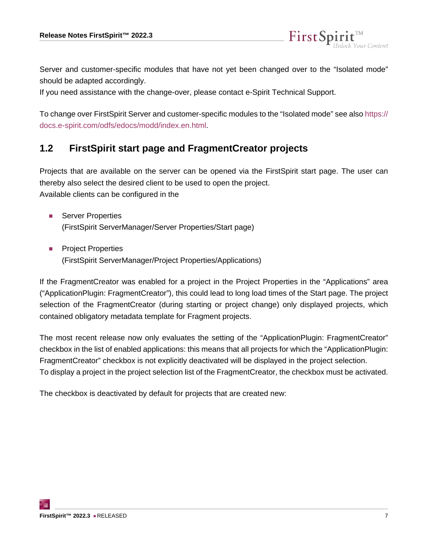Server and customer-specific modules that have not yet been changed over to the "Isolated mode" should be adapted accordingly.

FirstSp

If you need assistance with the change-over, please contact e-Spirit Technical Support.

To change over FirstSpirit Server and customer-specific modules to the "Isolated mode" see also [https://](https://docs.e-spirit.com/odfs/edocs/modd/index.en.html) [docs.e-spirit.com/odfs/edocs/modd/index.en.html](https://docs.e-spirit.com/odfs/edocs/modd/index.en.html).

### <span id="page-6-0"></span>**1.2 FirstSpirit start page and FragmentCreator projects**

Projects that are available on the server can be opened via the FirstSpirit start page. The user can thereby also select the desired client to be used to open the project. Available clients can be configured in the

- Server Properties (FirstSpirit ServerManager/Server Properties/Start page)
- Project Properties (FirstSpirit ServerManager/Project Properties/Applications)

If the FragmentCreator was enabled for a project in the Project Properties in the "Applications" area ("ApplicationPlugin: FragmentCreator"), this could lead to long load times of the Start page. The project selection of the FragmentCreator (during starting or project change) only displayed projects, which contained obligatory metadata template for Fragment projects.

The most recent release now only evaluates the setting of the "ApplicationPlugin: FragmentCreator" checkbox in the list of enabled applications: this means that all projects for which the "ApplicationPlugin: FragmentCreator" checkbox is not explicitly deactivated will be displayed in the project selection. To display a project in the project selection list of the FragmentCreator, the checkbox must be activated.

The checkbox is deactivated by default for projects that are created new: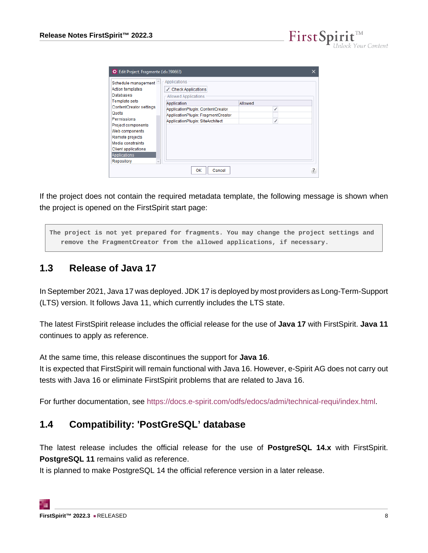FirstSp

| Applications<br>Schedule management<br><b>Action templates</b><br>$\sqrt{ }$ Check Applications<br>Databases<br>Allowed Applications<br><b>Template sets</b><br>Allowed<br>Application<br>ContentCreator settings<br>ApplicationPlugin: ContentCreator<br>Quota<br>ApplicationPlugin: FragmentCreator<br>Permissions<br>ApplicationPlugin: SiteArchitect<br>Project components<br>Web components<br>Remote projects<br>Media constraints<br>Client applications | ☆ Edit Project, Fragmente (id=390663) |  |
|-----------------------------------------------------------------------------------------------------------------------------------------------------------------------------------------------------------------------------------------------------------------------------------------------------------------------------------------------------------------------------------------------------------------------------------------------------------------|---------------------------------------|--|
|                                                                                                                                                                                                                                                                                                                                                                                                                                                                 |                                       |  |
|                                                                                                                                                                                                                                                                                                                                                                                                                                                                 |                                       |  |
|                                                                                                                                                                                                                                                                                                                                                                                                                                                                 |                                       |  |
| Repository<br>$\sim$<br>ОК<br>Cancel                                                                                                                                                                                                                                                                                                                                                                                                                            | <b>Applications</b>                   |  |

If the project does not contain the required metadata template, the following message is shown when the project is opened on the FirstSpirit start page:

**The project is not yet prepared for fragments. You may change the project settings and remove the FragmentCreator from the allowed applications, if necessary.**

# <span id="page-7-0"></span>**1.3 Release of Java 17**

In September 2021, Java 17 was deployed. JDK 17 is deployed by most providers as Long-Term-Support (LTS) version. It follows Java 11, which currently includes the LTS state.

The latest FirstSpirit release includes the official release for the use of **Java 17** with FirstSpirit. **Java 11** continues to apply as reference.

At the same time, this release discontinues the support for **Java 16**.

It is expected that FirstSpirit will remain functional with Java 16. However, e-Spirit AG does not carry out tests with Java 16 or eliminate FirstSpirit problems that are related to Java 16.

For further documentation, see<https://docs.e-spirit.com/odfs/edocs/admi/technical-requi/index.html>.

# <span id="page-7-1"></span>**1.4 Compatibility: 'PostGreSQL' database**

The latest release includes the official release for the use of **PostgreSQL 14.x** with FirstSpirit. **PostgreSQL 11** remains valid as reference.

It is planned to make PostgreSQL 14 the official reference version in a later release.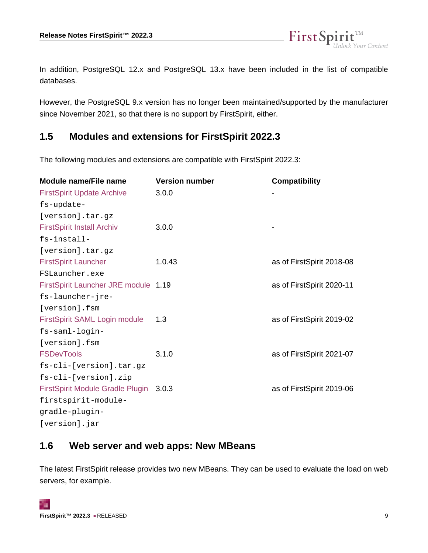

In addition, PostgreSQL 12.x and PostgreSQL 13.x have been included in the list of compatible databases.

However, the PostgreSQL 9.x version has no longer been maintained/supported by the manufacturer since November 2021, so that there is no support by FirstSpirit, either.

#### <span id="page-8-0"></span>**1.5 Modules and extensions for FirstSpirit 2022.3**

The following modules and extensions are compatible with FirstSpirit 2022.3:

| Module name/File name                  | <b>Version number</b> | <b>Compatibility</b>      |
|----------------------------------------|-----------------------|---------------------------|
| <b>FirstSpirit Update Archive</b>      | 3.0.0                 |                           |
| fs-update-                             |                       |                           |
| [version].tar.gz                       |                       |                           |
| <b>FirstSpirit Install Archiv</b>      | 3.0.0                 |                           |
| fs-install-                            |                       |                           |
| [version].tar.gz                       |                       |                           |
| <b>FirstSpirit Launcher</b>            | 1.0.43                | as of FirstSpirit 2018-08 |
| FSLauncher.exe                         |                       |                           |
| FirstSpirit Launcher JRE module 1.19   |                       | as of FirstSpirit 2020-11 |
| fs-launcher-jre-                       |                       |                           |
| [version].fsm                          |                       |                           |
| FirstSpirit SAML Login module          | 1.3                   | as of FirstSpirit 2019-02 |
| fs-saml-login-                         |                       |                           |
| [version].fsm                          |                       |                           |
| <b>FSDevTools</b>                      | 3.1.0                 | as of FirstSpirit 2021-07 |
| fs-cli-[version].tar.gz                |                       |                           |
| fs-cli-[version].zip                   |                       |                           |
| FirstSpirit Module Gradle Plugin 3.0.3 |                       | as of FirstSpirit 2019-06 |
| firstspirit-module-                    |                       |                           |
| gradle-plugin-                         |                       |                           |
| [version].jar                          |                       |                           |
|                                        |                       |                           |

# <span id="page-8-1"></span>**1.6 Web server and web apps: New MBeans**

The latest FirstSpirit release provides two new MBeans. They can be used to evaluate the load on web servers, for example.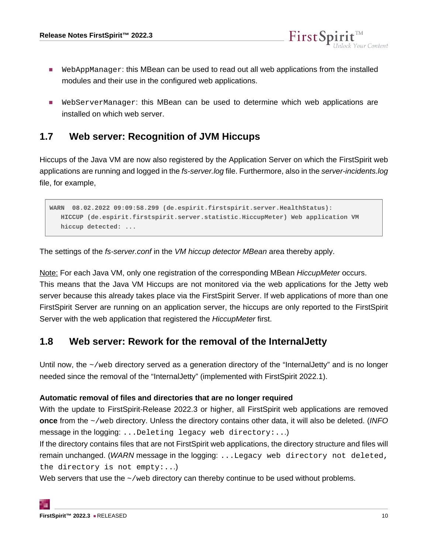■ WebAppManager: this MBean can be used to read out all web applications from the installed modules and their use in the configured web applications.

FirstSp

■ WebServerManager: this MBean can be used to determine which web applications are installed on which web server.

#### <span id="page-9-0"></span>**1.7 Web server: Recognition of JVM Hiccups**

Hiccups of the Java VM are now also registered by the Application Server on which the FirstSpirit web applications are running and logged in the fs-server. log file. Furthermore, also in the server-incidents. log file, for example,

```
WARN 08.02.2022 09:09:58.299 (de.espirit.firstspirit.server.HealthStatus):
   HICCUP (de.espirit.firstspirit.server.statistic.HiccupMeter) Web application VM 
   hiccup detected: ...
```
The settings of the fs-server.conf in the VM hiccup detector MBean area thereby apply.

Note: For each Java VM, only one registration of the corresponding MBean HiccupMeter occurs. This means that the Java VM Hiccups are not monitored via the web applications for the Jetty web server because this already takes place via the FirstSpirit Server. If web applications of more than one FirstSpirit Server are running on an application server, the hiccups are only reported to the FirstSpirit Server with the web application that registered the HiccupMeter first.

#### <span id="page-9-1"></span>**1.8 Web server: Rework for the removal of the InternalJetty**

Until now, the ~/web directory served as a generation directory of the "InternalJetty" and is no longer needed since the removal of the "InternalJetty" (implemented with FirstSpirit 2022.1).

#### **Automatic removal of files and directories that are no longer required**

With the update to FirstSpirit-Release 2022.3 or higher, all FirstSpirit web applications are removed **once** from the  $\sim$ /web directory. Unless the directory contains other data, it will also be deleted. (INFO message in the logging: ...Deleting legacy web directory:...)

If the directory contains files that are not FirstSpirit web applications, the directory structure and files will remain unchanged. (WARN message in the logging: ...Legacy web directory not deleted, the directory is not empty:...)

Web servers that use the  $\sim$ /web directory can thereby continue to be used without problems.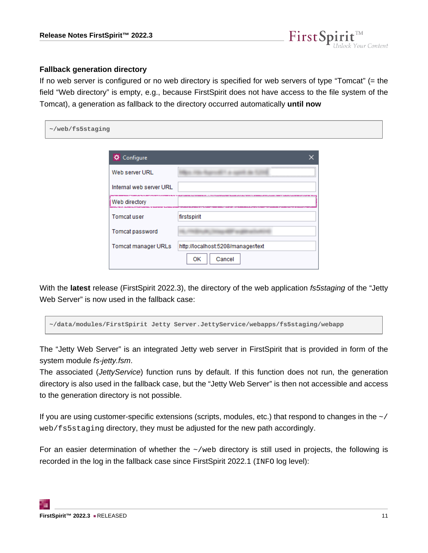

#### **Fallback generation directory**

If no web server is configured or no web directory is specified for web servers of type "Tomcat" (= the field "Web directory" is empty, e.g., because FirstSpirit does not have access to the file system of the Tomcat), a generation as fallback to the directory occurred automatically **until now**

| ~/web/fs5staging |                         |                                                                                      |  |
|------------------|-------------------------|--------------------------------------------------------------------------------------|--|
|                  | <b>☆</b> Configure      | $\times$                                                                             |  |
|                  | Web server URL          | ------------------------------                                                       |  |
|                  | Internal web server URL | ETA ARETARA PLANTETAREN ERA 2000 PENTERAK ERAUGIAKO<br><b>Manazarta di Kabupatén</b> |  |
|                  | Web directory           |                                                                                      |  |
|                  | Tomcat user             | firstspirit                                                                          |  |
|                  | Tomcat password         |                                                                                      |  |
|                  | Tomcat manager URLs     | http://localhost:5208/manager/text                                                   |  |
|                  |                         | Cancel<br>ок                                                                         |  |

With the **latest** release (FirstSpirit 2022.3), the directory of the web application fs5staging of the "Jetty Web Server" is now used in the fallback case:

**~/data/modules/FirstSpirit Jetty Server.JettyService/webapps/fs5staging/webapp**

The "Jetty Web Server" is an integrated Jetty web server in FirstSpirit that is provided in form of the system module fs-jetty.fsm.

The associated (JettyService) function runs by default. If this function does not run, the generation directory is also used in the fallback case, but the "Jetty Web Server" is then not accessible and access to the generation directory is not possible.

If you are using customer-specific extensions (scripts, modules, etc.) that respond to changes in the  $\sim$  / web/fs5staging directory, they must be adjusted for the new path accordingly.

For an easier determination of whether the  $\sim$ /web directory is still used in projects, the following is recorded in the log in the fallback case since FirstSpirit 2022.1 (INFO log level):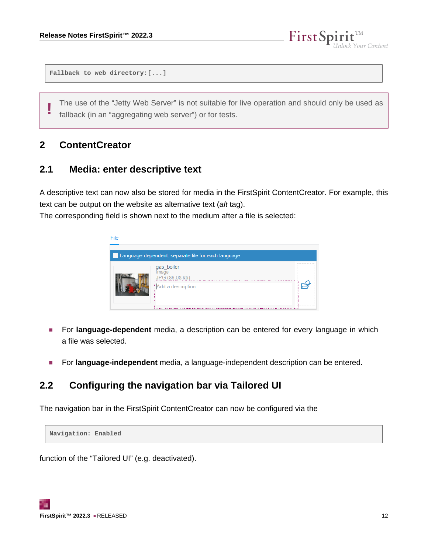```
Fallback to web directory:[...]
```
**!** The use of the "Jetty Web Server" is not suitable for live operation and should only be used as fallback (in an "aggregating web server") or for tests.

FirstSp

Your Content

#### <span id="page-11-0"></span>**2 ContentCreator**

#### <span id="page-11-1"></span>**2.1 Media: enter descriptive text**

A descriptive text can now also be stored for media in the FirstSpirit ContentCreator. For example, this text can be output on the website as alternative text (alt tag).

The corresponding field is shown next to the medium after a file is selected:



- For **language-dependent** media, a description can be entered for every language in which a file was selected.
- For **language-independent** media, a language-independent description can be entered.

#### <span id="page-11-2"></span>**2.2 Configuring the navigation bar via Tailored UI**

The navigation bar in the FirstSpirit ContentCreator can now be configured via the

**Navigation: Enabled**

function of the "Tailored UI" (e.g. deactivated).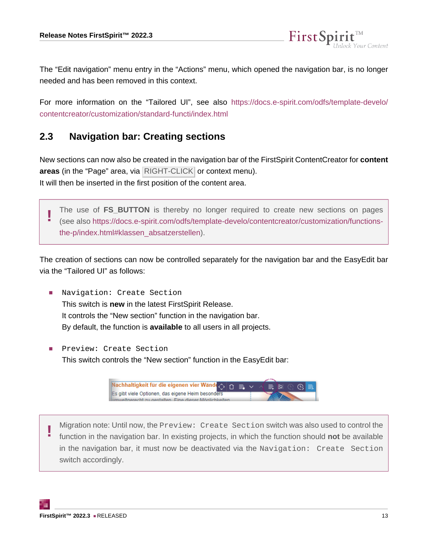The "Edit navigation" menu entry in the "Actions" menu, which opened the navigation bar, is no longer needed and has been removed in this context.

FirstSp

For more information on the "Tailored UI", see also [https://docs.e-spirit.com/odfs/template-develo/](https://docs.e-spirit.com/odfs/template-develo/contentcreator/customization/standard-functi/index.html) [contentcreator/customization/standard-functi/index.html](https://docs.e-spirit.com/odfs/template-develo/contentcreator/customization/standard-functi/index.html)

#### <span id="page-12-0"></span>**2.3 Navigation bar: Creating sections**

New sections can now also be created in the navigation bar of the FirstSpirit ContentCreator for **content** areas (in the "Page" area, via RIGHT-CLICK or context menu). It will then be inserted in the first position of the content area.

**!** The use of **FS\_BUTTON** is thereby no longer required to create new sections on pages (see also [https://docs.e-spirit.com/odfs/template-develo/contentcreator/customization/functions](https://docs.e-spirit.com/odfs/template-develo/contentcreator/customization/functions-the-p/index.html#klassen_absatzerstellen)[the-p/index.html#klassen\\_absatzerstellen\)](https://docs.e-spirit.com/odfs/template-develo/contentcreator/customization/functions-the-p/index.html#klassen_absatzerstellen).

The creation of sections can now be controlled separately for the navigation bar and the EasyEdit bar via the "Tailored UI" as follows:

- Navigation: Create Section This switch is **new** in the latest FirstSpirit Release. It controls the "New section" function in the navigation bar. By default, the function is **available** to all users in all projects.
- Preview: Create Section This switch controls the "New section" function in the EasyEdit bar:



**!** Migration note: Until now, the Preview: Create Section switch was also used to control the function in the navigation bar. In existing projects, in which the function should **not** be available in the navigation bar, it must now be deactivated via the Navigation: Create Section switch accordingly.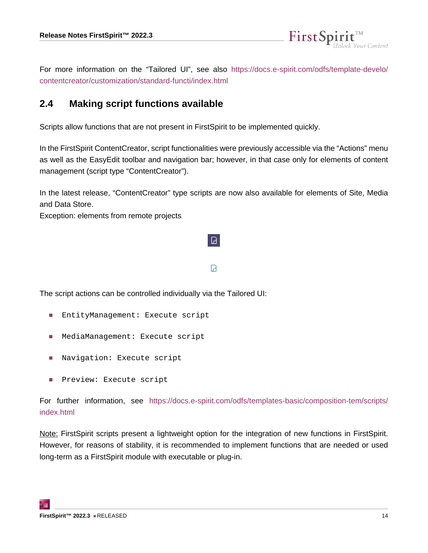

FirstSpi

#### <span id="page-13-0"></span>**2.4 Making script functions available**

Scripts allow functions that are not present in FirstSpirit to be implemented quickly.

In the FirstSpirit ContentCreator, script functionalities were previously accessible via the "Actions" menu as well as the EasyEdit toolbar and navigation bar; however, in that case only for elements of content management (script type "ContentCreator").

In the latest release, "ContentCreator" type scripts are now also available for elements of Site, Media and Data Store.

Exception: elements from remote projects

#### Ы

Ø.

The script actions can be controlled individually via the Tailored UI:

- EntityManagement: Execute script
- MediaManagement: Execute script
- Navigation: Execute script
- Preview: Execute script

For further information, see [https://docs.e-spirit.com/odfs/templates-basic/composition-tem/scripts/](https://docs.e-spirit.com/odfs/templates-basic/composition-tem/scripts/index.html) [index.html](https://docs.e-spirit.com/odfs/templates-basic/composition-tem/scripts/index.html)

Note: FirstSpirit scripts present a lightweight option for the integration of new functions in FirstSpirit. However, for reasons of stability, it is recommended to implement functions that are needed or used long-term as a FirstSpirit module with executable or plug-in.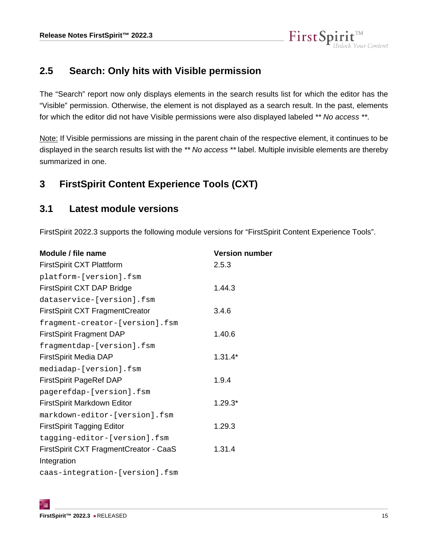

#### <span id="page-14-0"></span>**2.5 Search: Only hits with Visible permission**

The "Search" report now only displays elements in the search results list for which the editor has the "Visible" permission. Otherwise, the element is not displayed as a search result. In the past, elements for which the editor did not have Visible permissions were also displayed labeled \*\* No access \*\*.

Note: If Visible permissions are missing in the parent chain of the respective element, it continues to be displayed in the search results list with the \*\* No access \*\* label. Multiple invisible elements are thereby summarized in one.

#### <span id="page-14-1"></span>**3 FirstSpirit Content Experience Tools (CXT)**

#### <span id="page-14-2"></span>**3.1 Latest module versions**

FirstSpirit 2022.3 supports the following module versions for "FirstSpirit Content Experience Tools".

| Module / file name                     | <b>Version number</b> |
|----------------------------------------|-----------------------|
| <b>FirstSpirit CXT Plattform</b>       | 2.5.3                 |
| platform-[version].fsm                 |                       |
| FirstSpirit CXT DAP Bridge             | 1.44.3                |
| dataservice-[version].fsm              |                       |
| <b>FirstSpirit CXT FragmentCreator</b> | 3.4.6                 |
| fragment-creator-[version].fsm         |                       |
| <b>FirstSpirit Fragment DAP</b>        | 1.40.6                |
| fragmentdap-[version].fsm              |                       |
| <b>FirstSpirit Media DAP</b>           | $1.31.4*$             |
| mediadap-[version].fsm                 |                       |
| <b>FirstSpirit PageRef DAP</b>         | 1.9.4                 |
| pagerefdap-[version].fsm               |                       |
| FirstSpirit Markdown Editor            | $1.29.3*$             |
| markdown-editor-[version].fsm          |                       |
| <b>FirstSpirit Tagging Editor</b>      | 1.29.3                |
| tagging-editor-[version].fsm           |                       |
| FirstSpirit CXT FragmentCreator - CaaS | 1.31.4                |
| Integration                            |                       |
| caas-integration-[version].fsm         |                       |
|                                        |                       |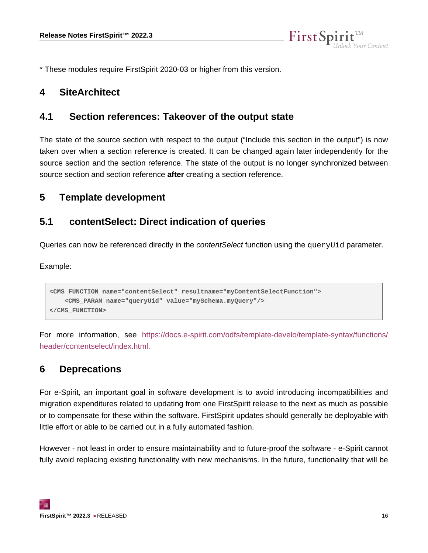

\* These modules require FirstSpirit 2020-03 or higher from this version.

#### <span id="page-15-0"></span>**4 SiteArchitect**

#### <span id="page-15-1"></span>**4.1 Section references: Takeover of the output state**

The state of the source section with respect to the output ("Include this section in the output") is now taken over when a section reference is created. It can be changed again later independently for the source section and the section reference. The state of the output is no longer synchronized between source section and section reference **after** creating a section reference.

#### <span id="page-15-2"></span>**5 Template development**

#### <span id="page-15-3"></span>**5.1 contentSelect: Direct indication of queries**

Queries can now be referenced directly in the *contentSelect* function using the queryUid parameter.

Example:

```
<CMS_FUNCTION name="contentSelect" resultname="myContentSelectFunction">
    <CMS_PARAM name="queryUid" value="mySchema.myQuery"/>
</CMS_FUNCTION>
```
For more information, see [https://docs.e-spirit.com/odfs/template-develo/template-syntax/functions/](https://docs.e-spirit.com/odfs/template-develo/template-syntax/functions/header/contentselect/index.html) [header/contentselect/index.html.](https://docs.e-spirit.com/odfs/template-develo/template-syntax/functions/header/contentselect/index.html)

#### <span id="page-15-4"></span>**6 Deprecations**

For e-Spirit, an important goal in software development is to avoid introducing incompatibilities and migration expenditures related to updating from one FirstSpirit release to the next as much as possible or to compensate for these within the software. FirstSpirit updates should generally be deployable with little effort or able to be carried out in a fully automated fashion.

However - not least in order to ensure maintainability and to future-proof the software - e-Spirit cannot fully avoid replacing existing functionality with new mechanisms. In the future, functionality that will be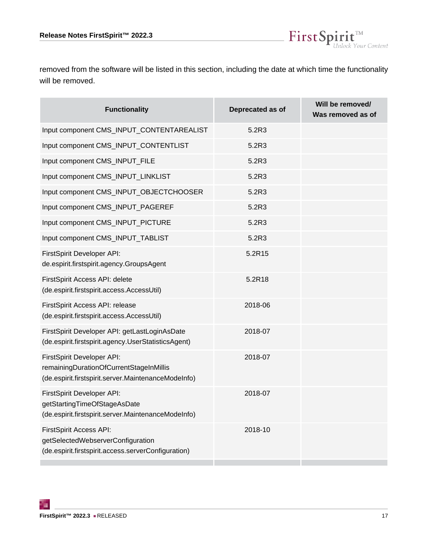

 $\textbf{FirstSplit}_{\textit{Unlock Your Content}}^{\textit{TM}}$ 

| <b>Functionality</b>                                                                                                         | Deprecated as of | Will be removed/<br>Was removed as of |
|------------------------------------------------------------------------------------------------------------------------------|------------------|---------------------------------------|
| Input component CMS_INPUT_CONTENTAREALIST                                                                                    | 5.2R3            |                                       |
| Input component CMS_INPUT_CONTENTLIST                                                                                        | 5.2R3            |                                       |
| Input component CMS_INPUT_FILE                                                                                               | 5.2R3            |                                       |
| Input component CMS_INPUT_LINKLIST                                                                                           | 5.2R3            |                                       |
| Input component CMS_INPUT_OBJECTCHOOSER                                                                                      | 5.2R3            |                                       |
| Input component CMS_INPUT_PAGEREF                                                                                            | 5.2R3            |                                       |
| Input component CMS_INPUT_PICTURE                                                                                            | 5.2R3            |                                       |
| Input component CMS_INPUT_TABLIST                                                                                            | 5.2R3            |                                       |
| FirstSpirit Developer API:<br>de.espirit.firstspirit.agency.GroupsAgent                                                      | 5.2R15           |                                       |
| FirstSpirit Access API: delete<br>(de.espirit.firstspirit.access.AccessUtil)                                                 | 5.2R18           |                                       |
| FirstSpirit Access API: release<br>(de.espirit.firstspirit.access.AccessUtil)                                                | 2018-06          |                                       |
| FirstSpirit Developer API: getLastLoginAsDate<br>(de.espirit.firstspirit.agency.UserStatisticsAgent)                         | 2018-07          |                                       |
| FirstSpirit Developer API:<br>remainingDurationOfCurrentStageInMillis<br>(de.espirit.firstspirit.server.MaintenanceModeInfo) | 2018-07          |                                       |
| FirstSpirit Developer API:<br>getStartingTimeOfStageAsDate<br>(de.espirit.firstspirit.server.MaintenanceModeInfo)            | 2018-07          |                                       |
| FirstSpirit Access API:<br>getSelectedWebserverConfiguration<br>(de.espirit.firstspirit.access.serverConfiguration)          | 2018-10          |                                       |
|                                                                                                                              |                  |                                       |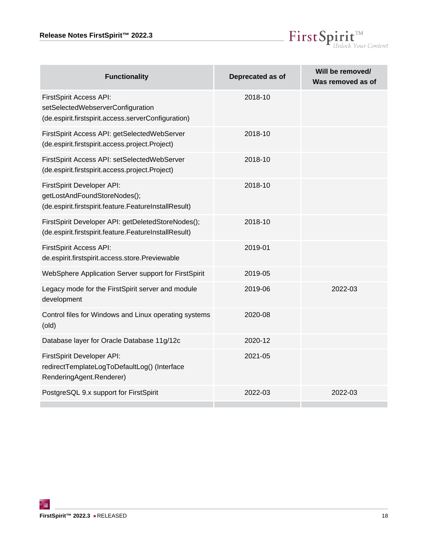

| <b>Functionality</b>                                                                                                       | Deprecated as of | Will be removed/<br>Was removed as of |
|----------------------------------------------------------------------------------------------------------------------------|------------------|---------------------------------------|
| <b>FirstSpirit Access API:</b><br>setSelectedWebserverConfiguration<br>(de.espirit.firstspirit.access.serverConfiguration) | 2018-10          |                                       |
| FirstSpirit Access API: getSelectedWebServer<br>(de.espirit.firstspirit.access.project.Project)                            | 2018-10          |                                       |
| FirstSpirit Access API: setSelectedWebServer<br>(de.espirit.firstspirit.access.project.Project)                            | 2018-10          |                                       |
| FirstSpirit Developer API:<br>getLostAndFoundStoreNodes();<br>(de.espirit.firstspirit.feature.FeatureInstallResult)        | 2018-10          |                                       |
| FirstSpirit Developer API: getDeletedStoreNodes();<br>(de.espirit.firstspirit.feature.FeatureInstallResult)                | 2018-10          |                                       |
| FirstSpirit Access API:<br>de.espirit.firstspirit.access.store.Previewable                                                 | 2019-01          |                                       |
| WebSphere Application Server support for FirstSpirit                                                                       | 2019-05          |                                       |
| Legacy mode for the FirstSpirit server and module<br>development                                                           | 2019-06          | 2022-03                               |
| Control files for Windows and Linux operating systems<br>(old)                                                             | 2020-08          |                                       |
| Database layer for Oracle Database 11g/12c                                                                                 | 2020-12          |                                       |
| FirstSpirit Developer API:<br>redirectTemplateLogToDefaultLog() (Interface<br>RenderingAgent.Renderer)                     | 2021-05          |                                       |
| PostgreSQL 9.x support for FirstSpirit                                                                                     | 2022-03          | 2022-03                               |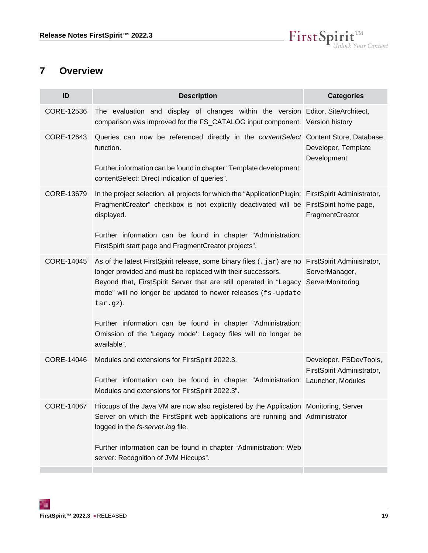

### <span id="page-18-0"></span>**7 Overview**

<span id="page-18-6"></span><span id="page-18-5"></span><span id="page-18-4"></span><span id="page-18-3"></span><span id="page-18-2"></span><span id="page-18-1"></span>

| ID         | <b>Description</b>                                                                                                                                                                                                                                                                                                                  | <b>Categories</b>                                    |
|------------|-------------------------------------------------------------------------------------------------------------------------------------------------------------------------------------------------------------------------------------------------------------------------------------------------------------------------------------|------------------------------------------------------|
| CORE-12536 | The evaluation and display of changes within the version Editor, SiteArchitect,<br>comparison was improved for the FS_CATALOG input component. Version history                                                                                                                                                                      |                                                      |
| CORE-12643 | Queries can now be referenced directly in the <i>contentSelect</i> Content Store, Database,<br>function.                                                                                                                                                                                                                            | Developer, Template<br>Development                   |
|            | Further information can be found in chapter "Template development:<br>contentSelect: Direct indication of queries".                                                                                                                                                                                                                 |                                                      |
| CORE-13679 | In the project selection, all projects for which the "ApplicationPlugin: FirstSpirit Administrator,<br>FragmentCreator" checkbox is not explicitly deactivated will be<br>displayed.                                                                                                                                                | FirstSpirit home page,<br>FragmentCreator            |
|            | Further information can be found in chapter "Administration:<br>FirstSpirit start page and FragmentCreator projects".                                                                                                                                                                                                               |                                                      |
| CORE-14045 | As of the latest FirstSpirit release, some binary files (. jar) are no FirstSpirit Administrator,<br>longer provided and must be replaced with their successors.<br>Beyond that, FirstSpirit Server that are still operated in "Legacy ServerMonitoring<br>mode" will no longer be updated to newer releases (fs-update<br>tar.gz). | ServerManager,                                       |
|            | Further information can be found in chapter "Administration:<br>Omission of the 'Legacy mode': Legacy files will no longer be<br>available".                                                                                                                                                                                        |                                                      |
| CORE-14046 | Modules and extensions for FirstSpirit 2022.3.<br>Further information can be found in chapter "Administration: Launcher, Modules<br>Modules and extensions for FirstSpirit 2022.3".                                                                                                                                                 | Developer, FSDevTools,<br>FirstSpirit Administrator, |
| CORE-14067 | Hiccups of the Java VM are now also registered by the Application Monitoring, Server<br>Server on which the FirstSpirit web applications are running and Administrator<br>logged in the fs-server.log file.                                                                                                                         |                                                      |
|            | Further information can be found in chapter "Administration: Web<br>server: Recognition of JVM Hiccups".                                                                                                                                                                                                                            |                                                      |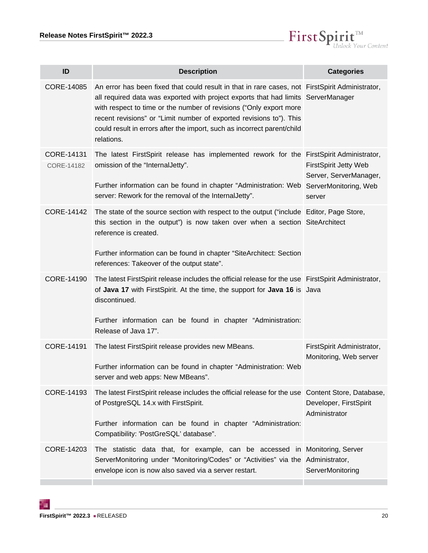

<span id="page-19-6"></span><span id="page-19-5"></span><span id="page-19-4"></span><span id="page-19-3"></span><span id="page-19-2"></span><span id="page-19-1"></span><span id="page-19-0"></span>

| ID                       | <b>Description</b>                                                                                                                                                                                                                                                                                                                                                                                                         | <b>Categories</b>                                                |
|--------------------------|----------------------------------------------------------------------------------------------------------------------------------------------------------------------------------------------------------------------------------------------------------------------------------------------------------------------------------------------------------------------------------------------------------------------------|------------------------------------------------------------------|
| CORE-14085               | An error has been fixed that could result in that in rare cases, not FirstSpirit Administrator,<br>all required data was exported with project exports that had limits ServerManager<br>with respect to time or the number of revisions ("Only export more<br>recent revisions" or "Limit number of exported revisions to"). This<br>could result in errors after the import, such as incorrect parent/child<br>relations. |                                                                  |
| CORE-14131<br>CORE-14182 | The latest FirstSpirit release has implemented rework for the FirstSpirit Administrator,<br>omission of the "InternalJetty".<br>Further information can be found in chapter "Administration: Web ServerMonitoring, Web<br>server: Rework for the removal of the Internal Jetty".                                                                                                                                           | <b>FirstSpirit Jetty Web</b><br>Server, ServerManager,<br>server |
| CORE-14142               | The state of the source section with respect to the output ("include Editor, Page Store,<br>this section in the output") is now taken over when a section SiteArchitect<br>reference is created.<br>Further information can be found in chapter "SiteArchitect: Section<br>references: Takeover of the output state".                                                                                                      |                                                                  |
| CORE-14190               | The latest FirstSpirit release includes the official release for the use FirstSpirit Administrator,<br>of Java 17 with FirstSpirit. At the time, the support for Java 16 is Java<br>discontinued.<br>Further information can be found in chapter "Administration:<br>Release of Java 17".                                                                                                                                  |                                                                  |
| CORE-14191               | The latest FirstSpirit release provides new MBeans.<br>Further information can be found in chapter "Administration: Web<br>server and web apps: New MBeans".                                                                                                                                                                                                                                                               | FirstSpirit Administrator,<br>Monitoring, Web server             |
| CORE-14193               | The latest FirstSpirit release includes the official release for the use Content Store, Database,<br>of PostgreSQL 14.x with FirstSpirit.<br>Further information can be found in chapter "Administration:<br>Compatibility: 'PostGreSQL' database".                                                                                                                                                                        | Developer, FirstSpirit<br>Administrator                          |
| CORE-14203               | The statistic data that, for example, can be accessed in Monitoring, Server<br>ServerMonitoring under "Monitoring/Codes" or "Activities" via the Administrator,<br>envelope icon is now also saved via a server restart.                                                                                                                                                                                                   | ServerMonitoring                                                 |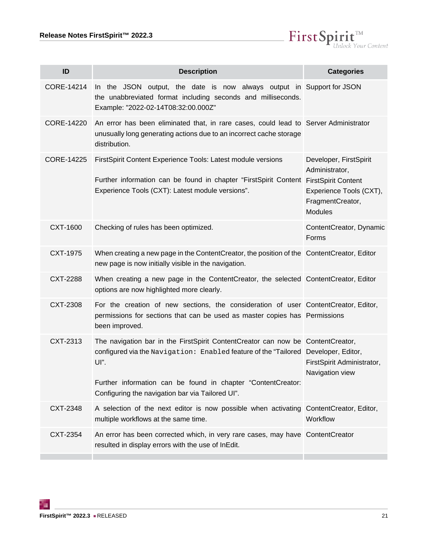

<span id="page-20-9"></span><span id="page-20-8"></span><span id="page-20-7"></span><span id="page-20-6"></span><span id="page-20-5"></span><span id="page-20-4"></span><span id="page-20-3"></span><span id="page-20-2"></span><span id="page-20-1"></span><span id="page-20-0"></span>

| ID         | <b>Description</b>                                                                                                                                                                                                                                                                                | <b>Categories</b>                                                                                         |
|------------|---------------------------------------------------------------------------------------------------------------------------------------------------------------------------------------------------------------------------------------------------------------------------------------------------|-----------------------------------------------------------------------------------------------------------|
| CORE-14214 | In the JSON output, the date is now always output in Support for JSON<br>the unabbreviated format including seconds and milliseconds.<br>Example: "2022-02-14T08:32:00.000Z"                                                                                                                      |                                                                                                           |
| CORE-14220 | An error has been eliminated that, in rare cases, could lead to Server Administrator<br>unusually long generating actions due to an incorrect cache storage<br>distribution.                                                                                                                      |                                                                                                           |
| CORE-14225 | FirstSpirit Content Experience Tools: Latest module versions<br>Further information can be found in chapter "FirstSpirit Content FirstSpirit Content<br>Experience Tools (CXT): Latest module versions".                                                                                          | Developer, FirstSpirit<br>Administrator,<br>Experience Tools (CXT),<br>FragmentCreator,<br><b>Modules</b> |
| CXT-1600   | Checking of rules has been optimized.                                                                                                                                                                                                                                                             | ContentCreator, Dynamic<br>Forms                                                                          |
| CXT-1975   | When creating a new page in the ContentCreator, the position of the ContentCreator, Editor<br>new page is now initially visible in the navigation.                                                                                                                                                |                                                                                                           |
| CXT-2288   | When creating a new page in the ContentCreator, the selected ContentCreator, Editor<br>options are now highlighted more clearly.                                                                                                                                                                  |                                                                                                           |
| CXT-2308   | For the creation of new sections, the consideration of user ContentCreator, Editor,<br>permissions for sections that can be used as master copies has Permissions<br>been improved.                                                                                                               |                                                                                                           |
| CXT-2313   | The navigation bar in the FirstSpirit ContentCreator can now be ContentCreator,<br>configured via the Navigation: Enabled feature of the "Tailored Developer, Editor,<br>UI".<br>Further information can be found in chapter "ContentCreator:<br>Configuring the navigation bar via Tailored UI". | FirstSpirit Administrator,<br>Navigation view                                                             |
| CXT-2348   | A selection of the next editor is now possible when activating ContentCreator, Editor,<br>multiple workflows at the same time.                                                                                                                                                                    | Workflow                                                                                                  |
| CXT-2354   | An error has been corrected which, in very rare cases, may have ContentCreator<br>resulted in display errors with the use of InEdit.                                                                                                                                                              |                                                                                                           |
|            |                                                                                                                                                                                                                                                                                                   |                                                                                                           |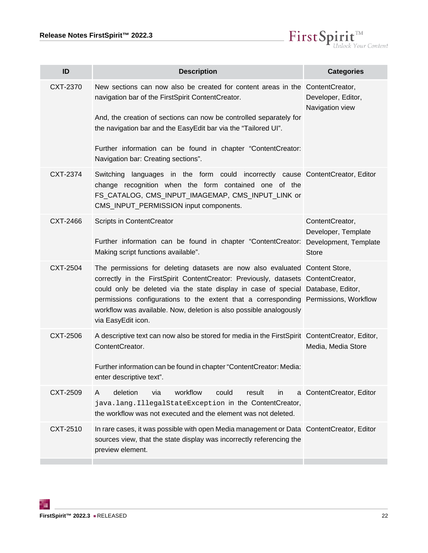

<span id="page-21-6"></span><span id="page-21-5"></span><span id="page-21-4"></span><span id="page-21-3"></span><span id="page-21-2"></span><span id="page-21-1"></span><span id="page-21-0"></span>

| ID       | <b>Description</b>                                                                                                                                                                                                                                                                                                                                                                                                                      | <b>Categories</b>                                      |
|----------|-----------------------------------------------------------------------------------------------------------------------------------------------------------------------------------------------------------------------------------------------------------------------------------------------------------------------------------------------------------------------------------------------------------------------------------------|--------------------------------------------------------|
| CXT-2370 | New sections can now also be created for content areas in the ContentCreator,<br>navigation bar of the FirstSpirit ContentCreator.<br>And, the creation of sections can now be controlled separately for<br>the navigation bar and the EasyEdit bar via the "Tailored UI".<br>Further information can be found in chapter "ContentCreator:<br>Navigation bar: Creating sections".                                                       | Developer, Editor,<br>Navigation view                  |
| CXT-2374 | Switching languages in the form could incorrectly cause ContentCreator, Editor<br>change recognition when the form contained one of the<br>FS_CATALOG, CMS_INPUT_IMAGEMAP, CMS_INPUT_LINK or<br>CMS_INPUT_PERMISSION input components.                                                                                                                                                                                                  |                                                        |
| CXT-2466 | Scripts in ContentCreator<br>Further information can be found in chapter "ContentCreator: Development, Template<br>Making script functions available".                                                                                                                                                                                                                                                                                  | ContentCreator,<br>Developer, Template<br><b>Store</b> |
| CXT-2504 | The permissions for deleting datasets are now also evaluated Content Store,<br>correctly in the FirstSpirit ContentCreator: Previously, datasets ContentCreator,<br>could only be deleted via the state display in case of special Database, Editor,<br>permissions configurations to the extent that a corresponding Permissions, Workflow<br>workflow was available. Now, deletion is also possible analogously<br>via EasyEdit icon. |                                                        |
| CXT-2506 | A descriptive text can now also be stored for media in the FirstSpirit ContentCreator, Editor,<br>ContentCreator.<br>Further information can be found in chapter "ContentCreator: Media:<br>enter descriptive text".                                                                                                                                                                                                                    | Media, Media Store                                     |
| CXT-2509 | deletion<br>workflow<br>via<br>could<br>result<br>A<br>in<br>java.lang.IllegalStateException in the ContentCreator,<br>the workflow was not executed and the element was not deleted.                                                                                                                                                                                                                                                   | a ContentCreator, Editor                               |
| CXT-2510 | In rare cases, it was possible with open Media management or Data ContentCreator, Editor<br>sources view, that the state display was incorrectly referencing the<br>preview element.                                                                                                                                                                                                                                                    |                                                        |
|          |                                                                                                                                                                                                                                                                                                                                                                                                                                         |                                                        |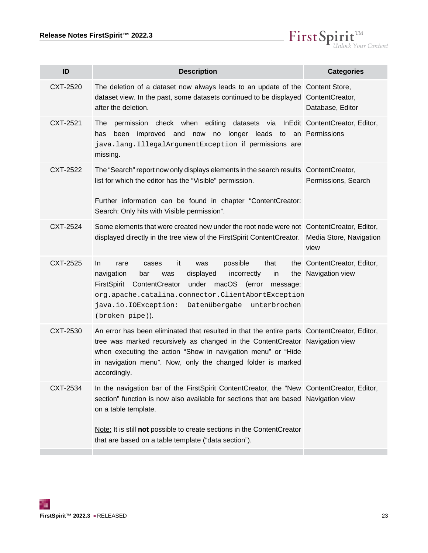

<span id="page-22-6"></span><span id="page-22-5"></span><span id="page-22-4"></span><span id="page-22-3"></span><span id="page-22-2"></span><span id="page-22-1"></span><span id="page-22-0"></span>

| <b>Description</b>                                                                                                                                                                                                                                                                                                                           | <b>Categories</b>                                  |
|----------------------------------------------------------------------------------------------------------------------------------------------------------------------------------------------------------------------------------------------------------------------------------------------------------------------------------------------|----------------------------------------------------|
| The deletion of a dataset now always leads to an update of the Content Store,<br>dataset view. In the past, some datasets continued to be displayed ContentCreator,<br>after the deletion.                                                                                                                                                   | Database, Editor                                   |
| permission check when editing datasets via InEdit ContentCreator, Editor,<br>The<br>improved and now no longer leads to an Permissions<br>has<br>been<br>java.lang.IllegalArgumentException if permissions are<br>missing.                                                                                                                   |                                                    |
| The "Search" report now only displays elements in the search results Content Creator,<br>list for which the editor has the "Visible" permission.<br>Further information can be found in chapter "ContentCreator:<br>Search: Only hits with Visible permission".                                                                              | Permissions, Search                                |
| Some elements that were created new under the root node were not ContentCreator, Editor,<br>displayed directly in the tree view of the FirstSpirit ContentCreator. Media Store, Navigation                                                                                                                                                   | view                                               |
| it<br>possible<br>that<br>In.<br>rare<br>cases<br>was<br>displayed<br>incorrectly<br>navigation<br>bar<br>was<br>in<br>FirstSpirit ContentCreator<br>under macOS (error<br>message:<br>org.apache.catalina.connector.ClientAbortException<br>java.io.IOException: Datenübergabe unterbrochen<br>(broken pipe)).                              | the ContentCreator, Editor,<br>the Navigation view |
| An error has been eliminated that resulted in that the entire parts ContentCreator, Editor,<br>tree was marked recursively as changed in the ContentCreator Navigation view<br>when executing the action "Show in navigation menu" or "Hide<br>in navigation menu". Now, only the changed folder is marked<br>accordingly.                   |                                                    |
| In the navigation bar of the FirstSpirit ContentCreator, the "New ContentCreator, Editor,<br>section" function is now also available for sections that are based Navigation view<br>on a table template.<br>Note: It is still not possible to create sections in the Content Creator<br>that are based on a table template ("data section"). |                                                    |
|                                                                                                                                                                                                                                                                                                                                              |                                                    |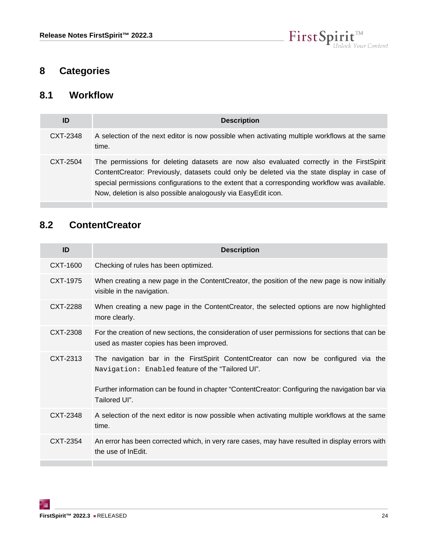

# <span id="page-23-0"></span>**8 Categories**

#### <span id="page-23-1"></span>**8.1 Workflow**

| ID       | <b>Description</b>                                                                                                                                                                                                                                                                                                                                         |
|----------|------------------------------------------------------------------------------------------------------------------------------------------------------------------------------------------------------------------------------------------------------------------------------------------------------------------------------------------------------------|
| CXT-2348 | A selection of the next editor is now possible when activating multiple workflows at the same<br>time.                                                                                                                                                                                                                                                     |
| CXT-2504 | The permissions for deleting datasets are now also evaluated correctly in the FirstSpirit<br>ContentCreator: Previously, datasets could only be deleted via the state display in case of<br>special permissions configurations to the extent that a corresponding workflow was available.<br>Now, deletion is also possible analogously via EasyEdit icon. |

# <span id="page-23-2"></span>**8.2 ContentCreator**

| ID       | <b>Description</b>                                                                                                                                                                                                                                          |
|----------|-------------------------------------------------------------------------------------------------------------------------------------------------------------------------------------------------------------------------------------------------------------|
| CXT-1600 | Checking of rules has been optimized.                                                                                                                                                                                                                       |
| CXT-1975 | When creating a new page in the ContentCreator, the position of the new page is now initially<br>visible in the navigation.                                                                                                                                 |
| CXT-2288 | When creating a new page in the ContentCreator, the selected options are now highlighted<br>more clearly.                                                                                                                                                   |
| CXT-2308 | For the creation of new sections, the consideration of user permissions for sections that can be<br>used as master copies has been improved.                                                                                                                |
| CXT-2313 | The navigation bar in the FirstSpirit ContentCreator can now be configured via the<br>Navigation: Enabled feature of the "Tailored UI".<br>Further information can be found in chapter "ContentCreator: Configuring the navigation bar via<br>Tailored UI". |
| CXT-2348 | A selection of the next editor is now possible when activating multiple workflows at the same<br>time.                                                                                                                                                      |
| CXT-2354 | An error has been corrected which, in very rare cases, may have resulted in display errors with<br>the use of InEdit.                                                                                                                                       |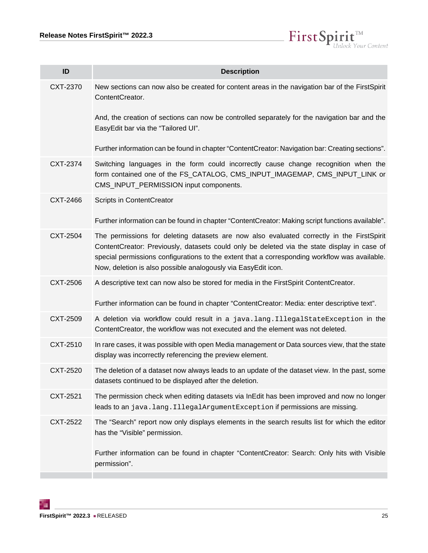

| ID       | <b>Description</b>                                                                                                                                                                                                                                                                                                                                         |
|----------|------------------------------------------------------------------------------------------------------------------------------------------------------------------------------------------------------------------------------------------------------------------------------------------------------------------------------------------------------------|
| CXT-2370 | New sections can now also be created for content areas in the navigation bar of the FirstSpirit<br>ContentCreator.                                                                                                                                                                                                                                         |
|          | And, the creation of sections can now be controlled separately for the navigation bar and the<br>EasyEdit bar via the "Tailored UI".                                                                                                                                                                                                                       |
|          | Further information can be found in chapter "ContentCreator: Navigation bar: Creating sections".                                                                                                                                                                                                                                                           |
| CXT-2374 | Switching languages in the form could incorrectly cause change recognition when the<br>form contained one of the FS_CATALOG, CMS_INPUT_IMAGEMAP, CMS_INPUT_LINK or<br>CMS_INPUT_PERMISSION input components.                                                                                                                                               |
| CXT-2466 | Scripts in ContentCreator                                                                                                                                                                                                                                                                                                                                  |
|          | Further information can be found in chapter "ContentCreator: Making script functions available".                                                                                                                                                                                                                                                           |
| CXT-2504 | The permissions for deleting datasets are now also evaluated correctly in the FirstSpirit<br>ContentCreator: Previously, datasets could only be deleted via the state display in case of<br>special permissions configurations to the extent that a corresponding workflow was available.<br>Now, deletion is also possible analogously via EasyEdit icon. |
| CXT-2506 | A descriptive text can now also be stored for media in the FirstSpirit ContentCreator.                                                                                                                                                                                                                                                                     |
|          | Further information can be found in chapter "ContentCreator: Media: enter descriptive text".                                                                                                                                                                                                                                                               |
| CXT-2509 | A deletion via workflow could result in a java.lang.IllegalStateException in the<br>ContentCreator, the workflow was not executed and the element was not deleted.                                                                                                                                                                                         |
| CXT-2510 | In rare cases, it was possible with open Media management or Data sources view, that the state<br>display was incorrectly referencing the preview element.                                                                                                                                                                                                 |
| CXT-2520 | The deletion of a dataset now always leads to an update of the dataset view. In the past, some<br>datasets continued to be displayed after the deletion.                                                                                                                                                                                                   |
| CXT-2521 | The permission check when editing datasets via InEdit has been improved and now no longer<br>leads to an java.lang.IllegalArgumentException if permissions are missing.                                                                                                                                                                                    |
| CXT-2522 | The "Search" report now only displays elements in the search results list for which the editor<br>has the "Visible" permission.                                                                                                                                                                                                                            |
|          | Further information can be found in chapter "ContentCreator: Search: Only hits with Visible<br>permission".                                                                                                                                                                                                                                                |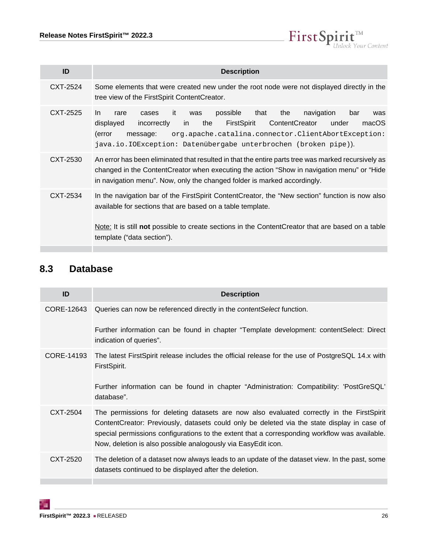

| ID       | <b>Description</b>                                                                                                                                                                                                                                                                                                                    |
|----------|---------------------------------------------------------------------------------------------------------------------------------------------------------------------------------------------------------------------------------------------------------------------------------------------------------------------------------------|
| CXT-2524 | Some elements that were created new under the root node were not displayed directly in the<br>tree view of the FirstSpirit ContentCreator.                                                                                                                                                                                            |
| CXT-2525 | navigation<br>possible<br>that<br>the<br>In.<br>-it<br>bar<br>rare<br>was<br>cases<br>was<br>FirstSpirit<br>ContentCreator<br>macOS<br>displayed<br>the<br>incorrectly<br>under<br>in<br>org.apache.catalina.connector.ClientAbortException:<br>(error<br>message:<br>java.io.IOException: Datenübergabe unterbrochen (broken pipe)). |
| CXT-2530 | An error has been eliminated that resulted in that the entire parts tree was marked recursively as<br>changed in the Content Creator when executing the action "Show in navigation menu" or "Hide<br>in navigation menu". Now, only the changed folder is marked accordingly.                                                         |
| CXT-2534 | In the navigation bar of the First Spirit Content Creator, the "New section" function is now also<br>available for sections that are based on a table template.                                                                                                                                                                       |
|          | Note: It is still <b>not</b> possible to create sections in the ContentCreator that are based on a table<br>template ("data section").                                                                                                                                                                                                |

# <span id="page-25-0"></span>**8.3 Database**

| ID         | <b>Description</b>                                                                                                                                                                                                                                                                                                                                         |
|------------|------------------------------------------------------------------------------------------------------------------------------------------------------------------------------------------------------------------------------------------------------------------------------------------------------------------------------------------------------------|
| CORE-12643 | Queries can now be referenced directly in the <i>contentSelect</i> function.                                                                                                                                                                                                                                                                               |
|            | Further information can be found in chapter "Template development: contentSelect: Direct<br>indication of queries".                                                                                                                                                                                                                                        |
| CORE-14193 | The latest FirstSpirit release includes the official release for the use of PostgreSQL 14.x with<br>FirstSpirit.                                                                                                                                                                                                                                           |
|            | Further information can be found in chapter "Administration: Compatibility: 'PostGreSQL'<br>database".                                                                                                                                                                                                                                                     |
| CXT-2504   | The permissions for deleting datasets are now also evaluated correctly in the FirstSpirit<br>ContentCreator: Previously, datasets could only be deleted via the state display in case of<br>special permissions configurations to the extent that a corresponding workflow was available.<br>Now, deletion is also possible analogously via EasyEdit icon. |
| CXT-2520   | The deletion of a dataset now always leads to an update of the dataset view. In the past, some<br>datasets continued to be displayed after the deletion.                                                                                                                                                                                                   |
|            |                                                                                                                                                                                                                                                                                                                                                            |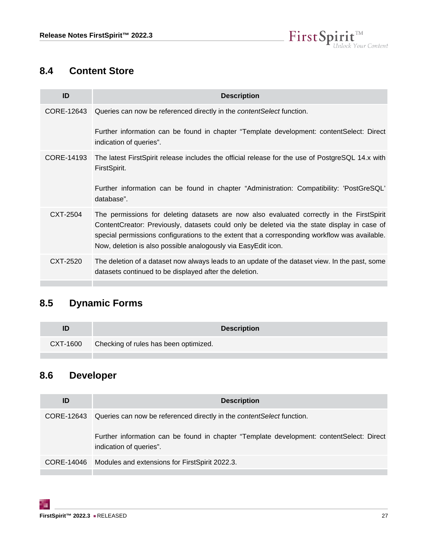

# <span id="page-26-0"></span>**8.4 Content Store**

| ID         | <b>Description</b>                                                                                                                                                                                                                                                                                                                                         |
|------------|------------------------------------------------------------------------------------------------------------------------------------------------------------------------------------------------------------------------------------------------------------------------------------------------------------------------------------------------------------|
| CORE-12643 | Queries can now be referenced directly in the <i>contentSelect</i> function.                                                                                                                                                                                                                                                                               |
|            | Further information can be found in chapter "Template development: contentSelect: Direct<br>indication of queries".                                                                                                                                                                                                                                        |
| CORE-14193 | The latest FirstSpirit release includes the official release for the use of PostgreSQL 14.x with<br>FirstSpirit.                                                                                                                                                                                                                                           |
|            | Further information can be found in chapter "Administration: Compatibility: 'PostGreSQL'<br>database".                                                                                                                                                                                                                                                     |
| CXT-2504   | The permissions for deleting datasets are now also evaluated correctly in the FirstSpirit<br>ContentCreator: Previously, datasets could only be deleted via the state display in case of<br>special permissions configurations to the extent that a corresponding workflow was available.<br>Now, deletion is also possible analogously via EasyEdit icon. |
| CXT-2520   | The deletion of a dataset now always leads to an update of the dataset view. In the past, some<br>datasets continued to be displayed after the deletion.                                                                                                                                                                                                   |
|            |                                                                                                                                                                                                                                                                                                                                                            |

# <span id="page-26-1"></span>**8.5 Dynamic Forms**

|          |                                       | <b>Description</b> |
|----------|---------------------------------------|--------------------|
| CXT-1600 | Checking of rules has been optimized. |                    |

# <span id="page-26-2"></span>**8.6 Developer**

| ID | <b>Description</b>                                                                                                  |
|----|---------------------------------------------------------------------------------------------------------------------|
|    | CORE-12643 Queries can now be referenced directly in the contentSelect function.                                    |
|    | Further information can be found in chapter "Template development: contentSelect: Direct<br>indication of queries". |
|    | CORE-14046 Modules and extensions for FirstSpirit 2022.3.                                                           |
|    |                                                                                                                     |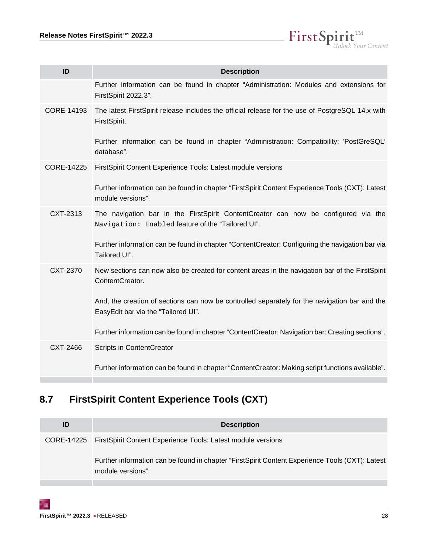

| ID         | <b>Description</b>                                                                                                                      |
|------------|-----------------------------------------------------------------------------------------------------------------------------------------|
|            | Further information can be found in chapter "Administration: Modules and extensions for<br>FirstSpirit 2022.3".                         |
| CORE-14193 | The latest FirstSpirit release includes the official release for the use of PostgreSQL 14.x with<br>FirstSpirit.                        |
|            | Further information can be found in chapter "Administration: Compatibility: 'PostGreSQL'<br>database".                                  |
| CORE-14225 | FirstSpirit Content Experience Tools: Latest module versions                                                                            |
|            | Further information can be found in chapter "FirstSpirit Content Experience Tools (CXT): Latest<br>module versions".                    |
| CXT-2313   | The navigation bar in the FirstSpirit ContentCreator can now be configured via the<br>Navigation: Enabled feature of the "Tailored UI". |
|            | Further information can be found in chapter "ContentCreator: Configuring the navigation bar via<br>Tailored UI".                        |
| CXT-2370   | New sections can now also be created for content areas in the navigation bar of the FirstSpirit<br>ContentCreator.                      |
|            | And, the creation of sections can now be controlled separately for the navigation bar and the<br>EasyEdit bar via the "Tailored UI".    |
|            | Further information can be found in chapter "ContentCreator: Navigation bar: Creating sections".                                        |
| CXT-2466   | Scripts in ContentCreator                                                                                                               |
|            | Further information can be found in chapter "ContentCreator: Making script functions available".                                        |

# <span id="page-27-0"></span>**8.7 FirstSpirit Content Experience Tools (CXT)**

| ID | <b>Description</b>                                                                                                   |
|----|----------------------------------------------------------------------------------------------------------------------|
|    | CORE-14225 FirstSpirit Content Experience Tools: Latest module versions                                              |
|    | Further information can be found in chapter "FirstSpirit Content Experience Tools (CXT): Latest<br>module versions". |

**College**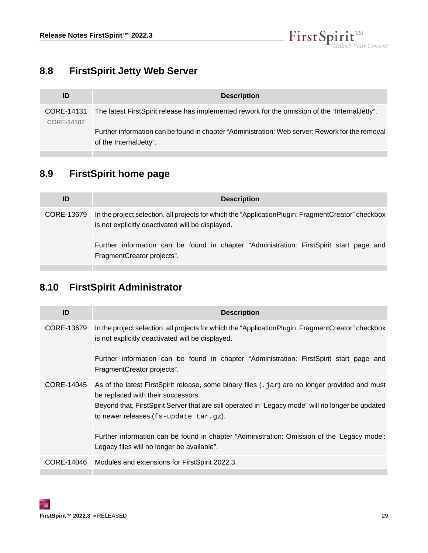

# <span id="page-28-0"></span>**8.8 FirstSpirit Jetty Web Server**

| ID         | <b>Description</b>                                                                                                         |
|------------|----------------------------------------------------------------------------------------------------------------------------|
| CORE-14131 | The latest FirstSpirit release has implemented rework for the omission of the "Internal Jetty".                            |
| CORE-14182 | Further information can be found in chapter "Administration: Web server: Rework for the removal<br>of the Internal Jetty". |

# <span id="page-28-1"></span>**8.9 FirstSpirit home page**

| ID         | <b>Description</b>                                                                                                                                                                                                                                                                |
|------------|-----------------------------------------------------------------------------------------------------------------------------------------------------------------------------------------------------------------------------------------------------------------------------------|
| CORE-13679 | In the project selection, all projects for which the "Application Plugin: Fragment Creator" checkbox<br>is not explicitly deactivated will be displayed.<br>Further information can be found in chapter "Administration: FirstSpirit start page and<br>FragmentCreator projects". |

# <span id="page-28-2"></span>**8.10 FirstSpirit Administrator**

| ID         | <b>Description</b>                                                                                                                                                                                                                                                                                                                                                                                                                                  |
|------------|-----------------------------------------------------------------------------------------------------------------------------------------------------------------------------------------------------------------------------------------------------------------------------------------------------------------------------------------------------------------------------------------------------------------------------------------------------|
| CORE-13679 | In the project selection, all projects for which the "ApplicationPlugin: FragmentCreator" checkbox<br>is not explicitly deactivated will be displayed.<br>Further information can be found in chapter "Administration: FirstSpirit start page and<br>FragmentCreator projects".                                                                                                                                                                     |
|            | CORE-14045 As of the latest FirstSpirit release, some binary files $(.jar)$ are no longer provided and must<br>be replaced with their successors.<br>Beyond that, FirstSpirit Server that are still operated in "Legacy mode" will no longer be updated<br>to newer releases $(fs$ -update $tar.gz$ ).<br>Further information can be found in chapter "Administration: Omission of the 'Legacy mode':<br>Legacy files will no longer be available". |
|            | CORE-14046 Modules and extensions for FirstSpirit 2022.3.                                                                                                                                                                                                                                                                                                                                                                                           |
|            |                                                                                                                                                                                                                                                                                                                                                                                                                                                     |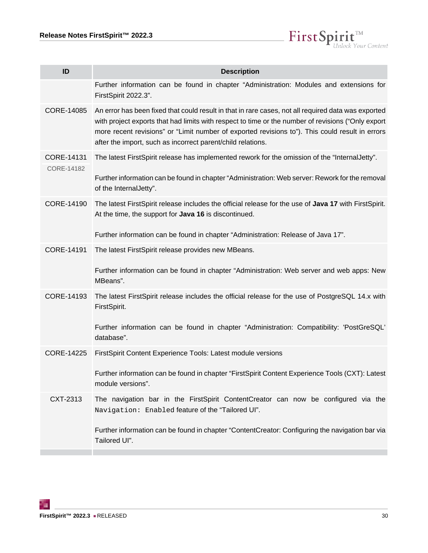

| ID                | <b>Description</b>                                                                                                                                                                                                                                                                                                                                                          |
|-------------------|-----------------------------------------------------------------------------------------------------------------------------------------------------------------------------------------------------------------------------------------------------------------------------------------------------------------------------------------------------------------------------|
|                   | Further information can be found in chapter "Administration: Modules and extensions for<br>FirstSpirit 2022.3".                                                                                                                                                                                                                                                             |
| CORE-14085        | An error has been fixed that could result in that in rare cases, not all required data was exported<br>with project exports that had limits with respect to time or the number of revisions ("Only export<br>more recent revisions" or "Limit number of exported revisions to"). This could result in errors<br>after the import, such as incorrect parent/child relations. |
| CORE-14131        | The latest FirstSpirit release has implemented rework for the omission of the "InternalJetty".                                                                                                                                                                                                                                                                              |
| CORE-14182        | Further information can be found in chapter "Administration: Web server: Rework for the removal<br>of the InternalJetty".                                                                                                                                                                                                                                                   |
| CORE-14190        | The latest FirstSpirit release includes the official release for the use of Java 17 with FirstSpirit.<br>At the time, the support for Java 16 is discontinued.                                                                                                                                                                                                              |
|                   | Further information can be found in chapter "Administration: Release of Java 17".                                                                                                                                                                                                                                                                                           |
| CORE-14191        | The latest FirstSpirit release provides new MBeans.                                                                                                                                                                                                                                                                                                                         |
|                   | Further information can be found in chapter "Administration: Web server and web apps: New<br>MBeans".                                                                                                                                                                                                                                                                       |
| CORE-14193        | The latest FirstSpirit release includes the official release for the use of PostgreSQL 14.x with<br>FirstSpirit.                                                                                                                                                                                                                                                            |
|                   | Further information can be found in chapter "Administration: Compatibility: 'PostGreSQL'<br>database".                                                                                                                                                                                                                                                                      |
| <b>CORE-14225</b> | FirstSpirit Content Experience Tools: Latest module versions                                                                                                                                                                                                                                                                                                                |
|                   | Further information can be found in chapter "FirstSpirit Content Experience Tools (CXT): Latest<br>module versions".                                                                                                                                                                                                                                                        |
| CXT-2313          | The navigation bar in the FirstSpirit ContentCreator can now be configured via the<br>Navigation: Enabled feature of the "Tailored UI".                                                                                                                                                                                                                                     |
|                   | Further information can be found in chapter "ContentCreator: Configuring the navigation bar via<br>Tailored UI".                                                                                                                                                                                                                                                            |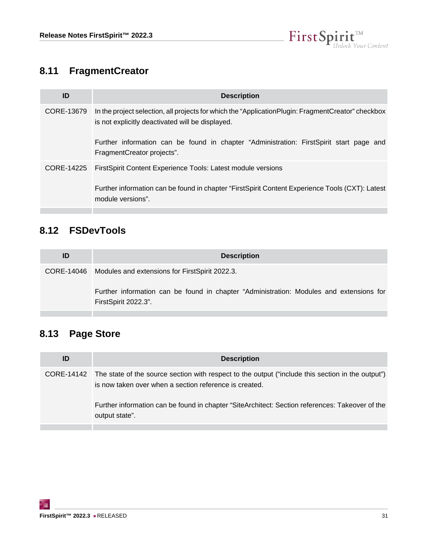

# <span id="page-30-0"></span>**8.11 FragmentCreator**

| ID         | <b>Description</b>                                                                                                                                                                                                                                                                |
|------------|-----------------------------------------------------------------------------------------------------------------------------------------------------------------------------------------------------------------------------------------------------------------------------------|
| CORE-13679 | In the project selection, all projects for which the "Application Plugin: Fragment Creator" checkbox<br>is not explicitly deactivated will be displayed.<br>Further information can be found in chapter "Administration: FirstSpirit start page and<br>FragmentCreator projects". |
| CORE-14225 | First Spirit Content Experience Tools: Latest module versions<br>Further information can be found in chapter "FirstSpirit Content Experience Tools (CXT): Latest<br>module versions".                                                                                             |

# <span id="page-30-1"></span>**8.12 FSDevTools**

| ID | <b>Description</b>                                                                                              |
|----|-----------------------------------------------------------------------------------------------------------------|
|    | CORE-14046 Modules and extensions for FirstSpirit 2022.3.                                                       |
|    | Further information can be found in chapter "Administration: Modules and extensions for<br>FirstSpirit 2022.3". |
|    |                                                                                                                 |

# <span id="page-30-2"></span>**8.13 Page Store**

| <b>Description</b>                                                                                                                                                     |
|------------------------------------------------------------------------------------------------------------------------------------------------------------------------|
| CORE-14142 The state of the source section with respect to the output ("include this section in the output")<br>is now taken over when a section reference is created. |
| Further information can be found in chapter "SiteArchitect: Section references: Takeover of the<br>output state".                                                      |
|                                                                                                                                                                        |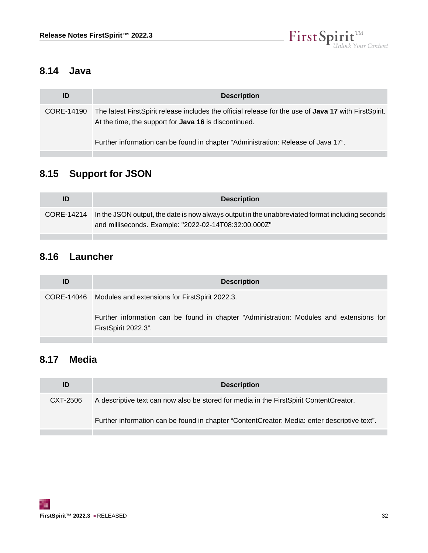

# <span id="page-31-0"></span>**8.14 Java**

| ID         | <b>Description</b>                                                                                                                                                    |
|------------|-----------------------------------------------------------------------------------------------------------------------------------------------------------------------|
| CORE-14190 | The latest FirstSpirit release includes the official release for the use of Java 17 with FirstSpirit.<br>At the time, the support for <b>Java 16</b> is discontinued. |
|            | Further information can be found in chapter "Administration: Release of Java 17".                                                                                     |

# <span id="page-31-1"></span>**8.15 Support for JSON**

| ID | <b>Description</b>                                                                                                                                                  |
|----|---------------------------------------------------------------------------------------------------------------------------------------------------------------------|
|    | CORE-14214 In the JSON output, the date is now always output in the unabbreviated format including seconds<br>and milliseconds. Example: "2022-02-14T08:32:00.000Z" |

# <span id="page-31-2"></span>**8.16 Launcher**

| ID | <b>Description</b>                                                                                              |
|----|-----------------------------------------------------------------------------------------------------------------|
|    | CORE-14046 Modules and extensions for FirstSpirit 2022.3.                                                       |
|    | Further information can be found in chapter "Administration: Modules and extensions for<br>FirstSpirit 2022.3". |

# <span id="page-31-3"></span>**8.17 Media**

| ID       | <b>Description</b>                                                                           |
|----------|----------------------------------------------------------------------------------------------|
| CXT-2506 | A descriptive text can now also be stored for media in the FirstSpirit ContentCreator.       |
|          | Further information can be found in chapter "ContentCreator: Media: enter descriptive text". |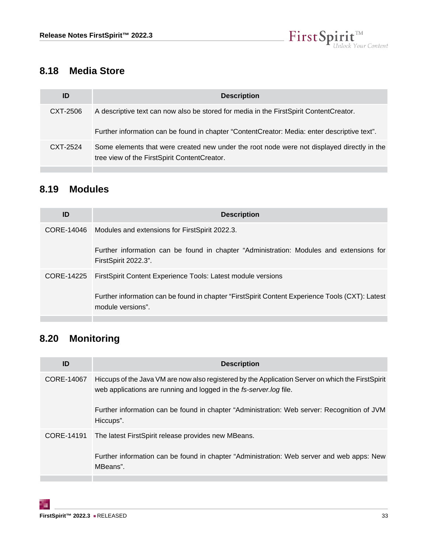

# <span id="page-32-0"></span>**8.18 Media Store**

| ID       | <b>Description</b>                                                                                                                         |
|----------|--------------------------------------------------------------------------------------------------------------------------------------------|
| CXT-2506 | A descriptive text can now also be stored for media in the FirstSpirit ContentCreator.                                                     |
|          | Further information can be found in chapter "ContentCreator: Media: enter descriptive text".                                               |
| CXT-2524 | Some elements that were created new under the root node were not displayed directly in the<br>tree view of the FirstSpirit ContentCreator. |

# <span id="page-32-1"></span>**8.19 Modules**

| <b>Description</b>                                                                                                   |
|----------------------------------------------------------------------------------------------------------------------|
| Modules and extensions for FirstSpirit 2022.3.                                                                       |
| Further information can be found in chapter "Administration: Modules and extensions for<br>FirstSpirit 2022.3".      |
| First Spirit Content Experience Tools: Latest module versions                                                        |
| Further information can be found in chapter "FirstSpirit Content Experience Tools (CXT): Latest<br>module versions". |
|                                                                                                                      |

# <span id="page-32-2"></span>**8.20 Monitoring**

| ID         | <b>Description</b>                                                                                                                                                                                                                                                                   |
|------------|--------------------------------------------------------------------------------------------------------------------------------------------------------------------------------------------------------------------------------------------------------------------------------------|
| CORE-14067 | Hiccups of the Java VM are now also registered by the Application Server on which the First Spirit<br>web applications are running and logged in the fs-server.log file.<br>Further information can be found in chapter "Administration: Web server: Recognition of JVM<br>Hiccups". |
| CORE-14191 | The latest FirstSpirit release provides new MBeans.<br>Further information can be found in chapter "Administration: Web server and web apps: New<br>MBeans".                                                                                                                         |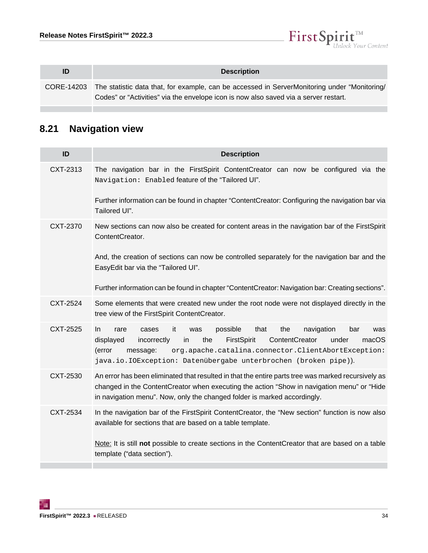

| ID | <b>Description</b>                                                                                                                                                                              |
|----|-------------------------------------------------------------------------------------------------------------------------------------------------------------------------------------------------|
|    | CORE-14203 The statistic data that, for example, can be accessed in ServerMonitoring under "Monitoring/<br>Codes" or "Activities" via the envelope icon is now also saved via a server restart. |

# <span id="page-33-0"></span>**8.21 Navigation view**

| ID       | <b>Description</b>                                                                                                                                                                                                                                                                                                                   |
|----------|--------------------------------------------------------------------------------------------------------------------------------------------------------------------------------------------------------------------------------------------------------------------------------------------------------------------------------------|
| CXT-2313 | The navigation bar in the FirstSpirit ContentCreator can now be configured via the<br>Navigation: Enabled feature of the "Tailored UI".                                                                                                                                                                                              |
|          | Further information can be found in chapter "ContentCreator: Configuring the navigation bar via<br>Tailored UI".                                                                                                                                                                                                                     |
| CXT-2370 | New sections can now also be created for content areas in the navigation bar of the FirstSpirit<br>ContentCreator.                                                                                                                                                                                                                   |
|          | And, the creation of sections can now be controlled separately for the navigation bar and the<br>EasyEdit bar via the "Tailored UI".                                                                                                                                                                                                 |
|          | Further information can be found in chapter "ContentCreator: Navigation bar: Creating sections".                                                                                                                                                                                                                                     |
| CXT-2524 | Some elements that were created new under the root node were not displayed directly in the<br>tree view of the FirstSpirit ContentCreator.                                                                                                                                                                                           |
| CXT-2525 | it<br>possible<br>In.<br>that<br>the<br>navigation<br>rare<br>cases<br>bar<br>was<br>was<br>macOS<br>the<br>FirstSpirit<br>ContentCreator<br>displayed<br>incorrectly<br>in<br>under<br>(error<br>org.apache.catalina.connector.ClientAbortException:<br>message:<br>java.io.IOException: Datenübergabe unterbrochen (broken pipe)). |
| CXT-2530 | An error has been eliminated that resulted in that the entire parts tree was marked recursively as<br>changed in the ContentCreator when executing the action "Show in navigation menu" or "Hide<br>in navigation menu". Now, only the changed folder is marked accordingly.                                                         |
| CXT-2534 | In the navigation bar of the FirstSpirit ContentCreator, the "New section" function is now also<br>available for sections that are based on a table template.                                                                                                                                                                        |
|          | Note: It is still not possible to create sections in the ContentCreator that are based on a table<br>template ("data section").                                                                                                                                                                                                      |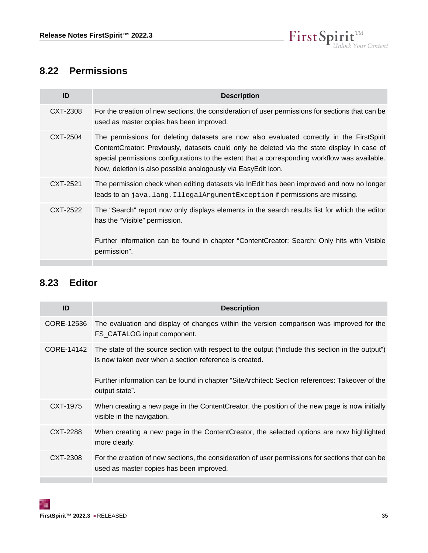

# <span id="page-34-0"></span>**8.22 Permissions**

| ID       | <b>Description</b>                                                                                                                                                                                                                                                                                                                                         |
|----------|------------------------------------------------------------------------------------------------------------------------------------------------------------------------------------------------------------------------------------------------------------------------------------------------------------------------------------------------------------|
| CXT-2308 | For the creation of new sections, the consideration of user permissions for sections that can be<br>used as master copies has been improved.                                                                                                                                                                                                               |
| CXT-2504 | The permissions for deleting datasets are now also evaluated correctly in the FirstSpirit<br>ContentCreator: Previously, datasets could only be deleted via the state display in case of<br>special permissions configurations to the extent that a corresponding workflow was available.<br>Now, deletion is also possible analogously via EasyEdit icon. |
| CXT-2521 | The permission check when editing datasets via InEdit has been improved and now no longer<br>leads to an java.lang.IllegalArgumentException if permissions are missing.                                                                                                                                                                                    |
| CXT-2522 | The "Search" report now only displays elements in the search results list for which the editor<br>has the "Visible" permission.<br>Further information can be found in chapter "ContentCreator: Search: Only hits with Visible<br>permission".                                                                                                             |

# <span id="page-34-1"></span>**8.23 Editor**

| ID         | <b>Description</b>                                                                                                                                          |
|------------|-------------------------------------------------------------------------------------------------------------------------------------------------------------|
| CORE-12536 | The evaluation and display of changes within the version comparison was improved for the<br>FS_CATALOG input component.                                     |
| CORE-14142 | The state of the source section with respect to the output ("include this section in the output")<br>is now taken over when a section reference is created. |
|            | Further information can be found in chapter "SiteArchitect: Section references: Takeover of the<br>output state".                                           |
| CXT-1975   | When creating a new page in the Content Creator, the position of the new page is now initially<br>visible in the navigation.                                |
| CXT-2288   | When creating a new page in the ContentCreator, the selected options are now highlighted<br>more clearly.                                                   |
| CXT-2308   | For the creation of new sections, the consideration of user permissions for sections that can be<br>used as master copies has been improved.                |

т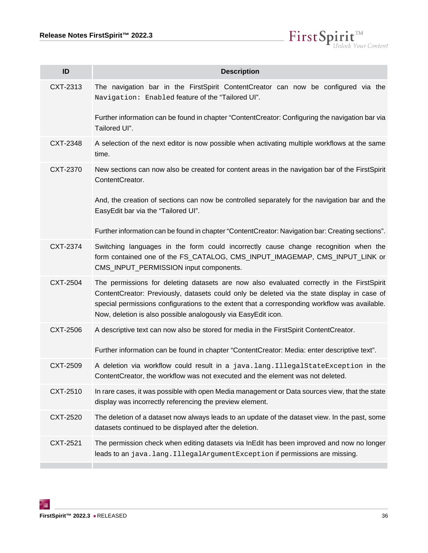$\label{eq: 3.1} First \textbf{Split}_{\textit{Unlock Your Content}}^{\textit{TM}}$ 

| ID       | <b>Description</b>                                                                                                                                                                                                                                                                                                                                         |
|----------|------------------------------------------------------------------------------------------------------------------------------------------------------------------------------------------------------------------------------------------------------------------------------------------------------------------------------------------------------------|
| CXT-2313 | The navigation bar in the FirstSpirit ContentCreator can now be configured via the<br>Navigation: Enabled feature of the "Tailored UI".                                                                                                                                                                                                                    |
|          | Further information can be found in chapter "ContentCreator: Configuring the navigation bar via<br>Tailored UI".                                                                                                                                                                                                                                           |
| CXT-2348 | A selection of the next editor is now possible when activating multiple workflows at the same<br>time.                                                                                                                                                                                                                                                     |
| CXT-2370 | New sections can now also be created for content areas in the navigation bar of the FirstSpirit<br>ContentCreator.                                                                                                                                                                                                                                         |
|          | And, the creation of sections can now be controlled separately for the navigation bar and the<br>EasyEdit bar via the "Tailored UI".                                                                                                                                                                                                                       |
|          | Further information can be found in chapter "ContentCreator: Navigation bar: Creating sections".                                                                                                                                                                                                                                                           |
| CXT-2374 | Switching languages in the form could incorrectly cause change recognition when the<br>form contained one of the FS_CATALOG, CMS_INPUT_IMAGEMAP, CMS_INPUT_LINK or<br>CMS_INPUT_PERMISSION input components.                                                                                                                                               |
| CXT-2504 | The permissions for deleting datasets are now also evaluated correctly in the FirstSpirit<br>ContentCreator: Previously, datasets could only be deleted via the state display in case of<br>special permissions configurations to the extent that a corresponding workflow was available.<br>Now, deletion is also possible analogously via EasyEdit icon. |
| CXT-2506 | A descriptive text can now also be stored for media in the FirstSpirit ContentCreator.                                                                                                                                                                                                                                                                     |
|          | Further information can be found in chapter "ContentCreator: Media: enter descriptive text".                                                                                                                                                                                                                                                               |
| CXT-2509 | A deletion via workflow could result in a java.lang.IllegalStateException in the<br>ContentCreator, the workflow was not executed and the element was not deleted.                                                                                                                                                                                         |
| CXT-2510 | In rare cases, it was possible with open Media management or Data sources view, that the state<br>display was incorrectly referencing the preview element.                                                                                                                                                                                                 |
| CXT-2520 | The deletion of a dataset now always leads to an update of the dataset view. In the past, some<br>datasets continued to be displayed after the deletion.                                                                                                                                                                                                   |
| CXT-2521 | The permission check when editing datasets via InEdit has been improved and now no longer<br>leads to an java.lang.IllegalArgumentException if permissions are missing.                                                                                                                                                                                    |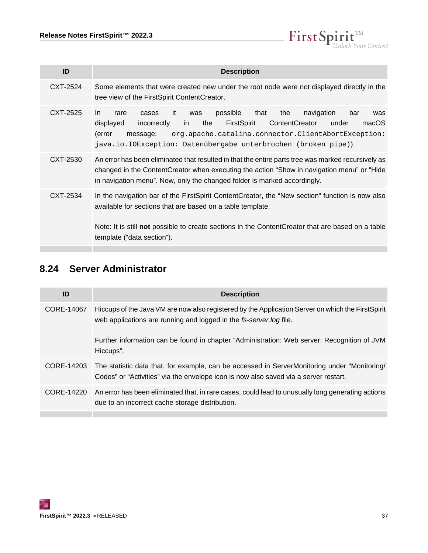

| <b>Description</b>                                                                                                                                                                                                                                                                                                             |
|--------------------------------------------------------------------------------------------------------------------------------------------------------------------------------------------------------------------------------------------------------------------------------------------------------------------------------|
| Some elements that were created new under the root node were not displayed directly in the<br>tree view of the FirstSpirit ContentCreator.                                                                                                                                                                                     |
| possible<br>the<br>navigation<br>that<br>bar<br>it<br>rare<br>was<br>cases<br>was<br>ContentCreator<br>FirstSpirit<br>displayed<br>incorrectly<br>the<br>macOS<br>under<br>in.<br>(error<br>org.apache.catalina.connector.ClientAbortException:<br>message:<br>java.io.IOException: Datenübergabe unterbrochen (broken pipe)). |
| An error has been eliminated that resulted in that the entire parts tree was marked recursively as<br>changed in the ContentCreator when executing the action "Show in navigation menu" or "Hide<br>in navigation menu". Now, only the changed folder is marked accordingly.                                                   |
| In the navigation bar of the First Spirit Content Creator, the "New section" function is now also<br>available for sections that are based on a table template.<br>Note: It is still not possible to create sections in the Content Creator that are based on a table<br>template ("data section").                            |
|                                                                                                                                                                                                                                                                                                                                |

# <span id="page-36-0"></span>**8.24 Server Administrator**

| ID         | <b>Description</b>                                                                                                                                                                   |
|------------|--------------------------------------------------------------------------------------------------------------------------------------------------------------------------------------|
| CORE-14067 | Hiccups of the Java VM are now also registered by the Application Server on which the FirstSpirit<br>web applications are running and logged in the fs-server.log file.              |
|            | Further information can be found in chapter "Administration: Web server: Recognition of JVM<br>Hiccups".                                                                             |
| CORE-14203 | The statistic data that, for example, can be accessed in ServerMonitoring under "Monitoring/<br>Codes" or "Activities" via the envelope icon is now also saved via a server restart. |
| CORE-14220 | An error has been eliminated that, in rare cases, could lead to unusually long generating actions<br>due to an incorrect cache storage distribution.                                 |
|            |                                                                                                                                                                                      |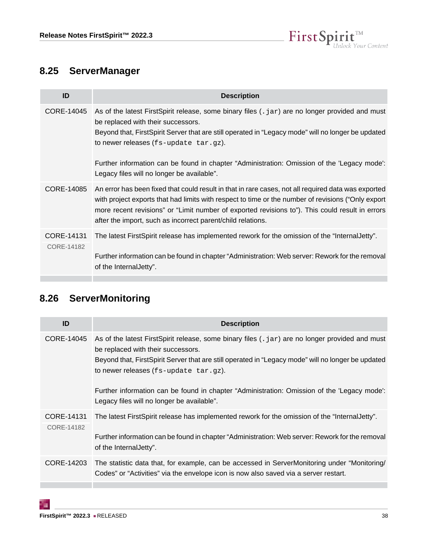

# <span id="page-37-0"></span>**8.25 ServerManager**

| ID                       | <b>Description</b>                                                                                                                                                                                                                                                                                                                                                                                                                   |
|--------------------------|--------------------------------------------------------------------------------------------------------------------------------------------------------------------------------------------------------------------------------------------------------------------------------------------------------------------------------------------------------------------------------------------------------------------------------------|
| CORE-14045               | As of the latest FirstSpirit release, some binary files $( . jar)$ are no longer provided and must<br>be replaced with their successors.<br>Beyond that, FirstSpirit Server that are still operated in "Legacy mode" will no longer be updated<br>to newer releases (fs-update tar.gz).<br>Further information can be found in chapter "Administration: Omission of the 'Legacy mode':<br>Legacy files will no longer be available". |
| CORE-14085               | An error has been fixed that could result in that in rare cases, not all required data was exported<br>with project exports that had limits with respect to time or the number of revisions ("Only export<br>more recent revisions" or "Limit number of exported revisions to"). This could result in errors<br>after the import, such as incorrect parent/child relations.                                                          |
| CORE-14131<br>CORE-14182 | The latest FirstSpirit release has implemented rework for the omission of the "Internal Jetty".<br>Further information can be found in chapter "Administration: Web server: Rework for the removal<br>of the Internal Jetty".                                                                                                                                                                                                        |

# <span id="page-37-1"></span>**8.26 ServerMonitoring**

| ID                       | <b>Description</b>                                                                                                                                                                                                                                                                                                                                                                                                                      |
|--------------------------|-----------------------------------------------------------------------------------------------------------------------------------------------------------------------------------------------------------------------------------------------------------------------------------------------------------------------------------------------------------------------------------------------------------------------------------------|
| CORE-14045               | As of the latest FirstSpirit release, some binary files (. jar) are no longer provided and must<br>be replaced with their successors.<br>Beyond that, FirstSpirit Server that are still operated in "Legacy mode" will no longer be updated<br>to newer releases $(fs$ -update $tar.gz$ ).<br>Further information can be found in chapter "Administration: Omission of the 'Legacy mode':<br>Legacy files will no longer be available". |
| CORE-14131<br>CORE-14182 | The latest FirstSpirit release has implemented rework for the omission of the "Internal Jetty".<br>Further information can be found in chapter "Administration: Web server: Rework for the removal<br>of the Internal Jetty".                                                                                                                                                                                                           |
| CORE-14203               | The statistic data that, for example, can be accessed in ServerMonitoring under "Monitoring/<br>Codes" or "Activities" via the envelope icon is now also saved via a server restart.                                                                                                                                                                                                                                                    |

98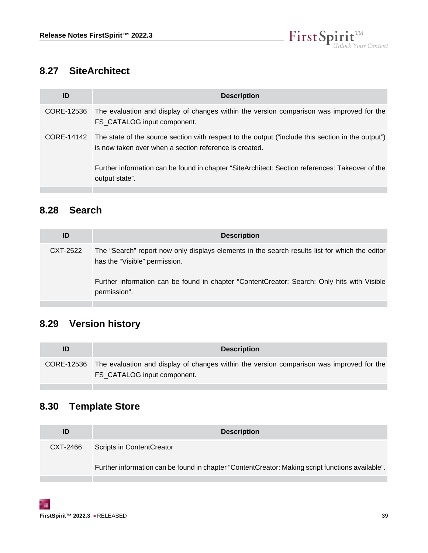

# <span id="page-38-0"></span>**8.27 SiteArchitect**

| ID | <b>Description</b>                                                                                                                                                                                                                                                        |
|----|---------------------------------------------------------------------------------------------------------------------------------------------------------------------------------------------------------------------------------------------------------------------------|
|    | CORE-12536 The evaluation and display of changes within the version comparison was improved for the<br>FS CATALOG input component.                                                                                                                                        |
|    | CORE-14142 The state of the source section with respect to the output ("include this section in the output")<br>is now taken over when a section reference is created.<br>Further information can be found in chapter "SiteArchitect: Section references: Takeover of the |
|    | output state".                                                                                                                                                                                                                                                            |

# <span id="page-38-1"></span>**8.28 Search**

| ID       | <b>Description</b>                                                                                                              |
|----------|---------------------------------------------------------------------------------------------------------------------------------|
| CXT-2522 | The "Search" report now only displays elements in the search results list for which the editor<br>has the "Visible" permission. |
|          | Further information can be found in chapter "ContentCreator: Search: Only hits with Visible<br>permission".                     |

# <span id="page-38-2"></span>**8.29 Version history**

| ID | <b>Description</b>                                                                                                                 |
|----|------------------------------------------------------------------------------------------------------------------------------------|
|    | CORE-12536 The evaluation and display of changes within the version comparison was improved for the<br>FS CATALOG input component. |

# <span id="page-38-3"></span>**8.30 Template Store**

| ID       | <b>Description</b>                                                                               |
|----------|--------------------------------------------------------------------------------------------------|
| CXT-2466 | Scripts in ContentCreator                                                                        |
|          | Further information can be found in chapter "ContentCreator: Making script functions available". |
|          |                                                                                                  |

т